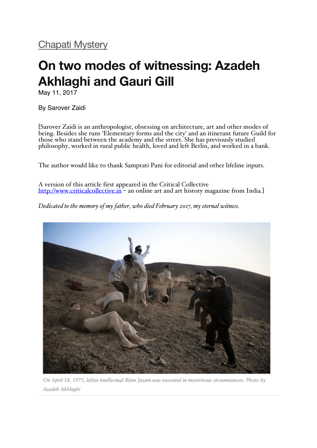## **On two modes of witnessing: Azadeh Akhlaghi and Gauri Gill**

May 11, 2017

By Sarover Zaidi

[Sarover Zaidi is an anthropologist, obsessing on architecture, art and other modes of being. Besides she runs 'Elementary forms and the city' and an itinerant future Guild for those who stand between the academy and the street. She has previously studied philosophy, worked in rural public health, loved and left Berlin, and worked in a bank.

The author would like to thank Samprati Pani for editorial and other lifeline inputs.

A version of this article first appeared in the Critical Collective http://www.criticalcollective.in – an online art and art history magazine from India*.*]

*Dedicated to the memory of my father, who died February 2017, my eternal witness.*



On April 18, 1975, leftist intellectual Bijan Jazani was executed in mysterious circumstances. Photo by Azadeh Akhlaghi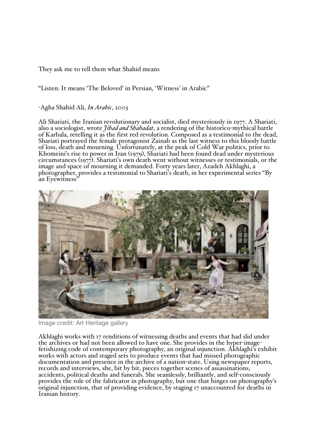They ask me to tell them what Shahid means

"Listen: It means 'The Beloved' in Persian, 'Witness' in Arabic"

-Agha Shahid Ali, *In Arabic*, 2003

Ali Shariati, the Iranian revolutionary and socialist, died mysteriously in 1977. A Shariati, also a sociologist, wrote *Jihad and Shahadat*, a rendering of the historico-mythical battle of Karbala, retelling it as the first red revolution. Composed as a testimonial to the dead, Shariati portrayed the female protagonist Zainab as the last witness to this bloody battle of loss, death and mourning. Unfortunately, at the peak of Cold War politics, prior to Khomeini's rise to power in Iran (1979), Shariati had been found dead under mysterious circumstances (1977). Shariati's own death went without witnesses or testimonials, or the image and space of mourning it demanded. Forty years later, Azadeh Akhlaghi, a photographer, provides a testimonial to Shariati's death, in her experimental series "By an Eyewitness"



Image credit: Art Heritage gallery

Akhlaghi works with 17 renditions of witnessing deaths and events that had slid under the archives or had not been allowed to have one. She provides in the hyper-imagefetishizing code of contemporary photography, an original injunction. Akhlaghi's exhibit works with actors and staged sets to produce events that had missed photographic<br>documentation and presence in the archive of a nation-state. Using newspaper reports, records and interviews, she, bit by bit, pieces together scenes of assassinations,<br>accidents, political deaths and funerals. She seamlessly, brilliantly, and self-consciously<br>provides the role of the fabricator in photogra original injunction, that of providing evidence, by staging 17 unaccounted for deaths in Iranian history.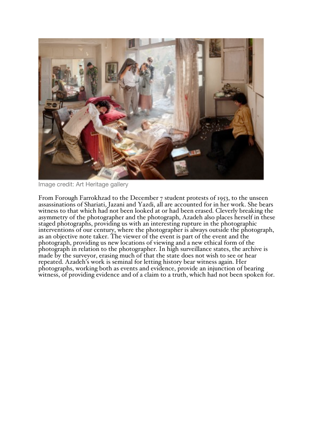

Image credit: Art Heritage gallery

From Forough Farrokhzad to the December 7 student protests of 1953, to the unseen assassinations of Shariati, Jazani and Yazdi, all are accounted for in her work. She bears witness to that which had not been looked at or had been erased. Cleverly breaking the asymmetry of the photographer and the photograph, Azadeh also places herself in these staged photographs, providing us with an interesting rupture in the photographic interventions of our century, where the photographer is always outside the photograph, as an objective note taker. The viewer of the event is part of the event and the photograph, providing us new locations of viewing and a new ethical form of the photograph in relation to the photographer. In high surveillance states, the archive is made by the surveyor, erasing much of that the state does not wish to see or hear repeated. Azadeh's work is seminal for letting histo photographs, working both as events and evidence, provide an injunction of bearing witness, of providing evidence and of a claim to a truth, which had not been spoken for.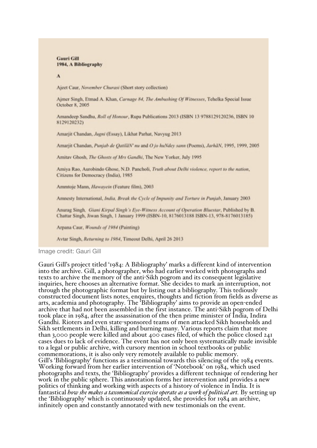**Gauri Gill** 1984, A Bibliography

 $\Lambda$ 

Aject Caur, November Churasi (Short story collection)

Ajmer Singh, Etmad A. Khan, Carnage 84, The Ambushing Of Witnesses, Tehelka Special Issue October 8, 2005

Amandeep Sandhu, Roll of Honour, Rupa Publications 2013 (ISBN 13 9788129120236, ISBN 10 8129120232)

Amarjit Chandan, Jugni (Essay), Likhat Parhat, Navyug 2013

Amarjit Chandan, Punjab de QatilâN' nu and O jo huNdey sann (Poems), JarhâN, 1995, 1999, 2005

Amitav Ghosh, The Ghosts of Mrs Gandhi, The New Yorker, July 1995

Amiya Rao, Aurobindo Ghose, N.D. Pancholi, Truth about Delhi violence, report to the nation, Citizens for Democracy (India), 1985

Ammtoje Mann, Hawayein (Feature film), 2003

Amnesty International, India, Break the Cycle of Impunity and Torture in Punjab, January 2003

Anurag Singh, Giani Kirpal Singh's Eye-Witness Account of Operation Bluestar, Published by B. Chattar Singh, Jiwan Singh, 1 January 1999 (ISBN-10, 8176013188 ISBN-13, 978-8176013185)

Arpana Caur, Wounds of 1984 (Painting)

Avtar Singh, Returning to 1984, Timeout Delhi, April 26 2013

Image credit: Gauri Gill

Gauri Gill's project titled '1984: A Bibliography' marks a different kind of intervention into the archive. Gill, a photographer, who had earlier worked with photographs and texts to archive the memory of the anti-Sikh pogrom and its consequent legislative inquiries, here chooses an alternative format. She decides to mark an interruption, not through the photographic format but by listing out a bibliography. This tediously constructed document lists notes, enquires, thoughts and fiction from fields as diverse as arts, academia and photography. The 'Bibliography' aims to provide an open-ended archive that had not been assembled in the first instance. The anti-Sikh pogrom of Delhi took place in 1984, after the assassination of the then prime minister of India, Indira Gandhi. Rioters and even state-sponsored teams of men attacked Sikh households and Sikh settlements in Delhi, killing and burning many. Various reports claim that more than 3,000 people were killed and about 400 cases filed, of which the police closed  $24I$ cases dues to lack of evidence. The event has not only been systematically made invisible to a legal or public archive, with cursory mention in school textbooks or public commemorations, it is also only very remotely available to public memory. Gill's 'Bibliography' functions as a testimonial towards this silencing of the 1984 events. Working forward from her earlier intervention of 'Notebook' on 1984, which used photographs and texts, the 'Bibliography' provides a different technique of rendering her work in the public sphere. This annotation forms her intervention and provides a new politics of thinking and working with aspects of a history of violence in India. It is fantastical how she makes a taxonomical exercise operate as a work of political art. By setting up the 'Bibliography' which is continuously updated, she provides for 1984 an archive, infinitely open and constantly annotated with new testimonials on the event.